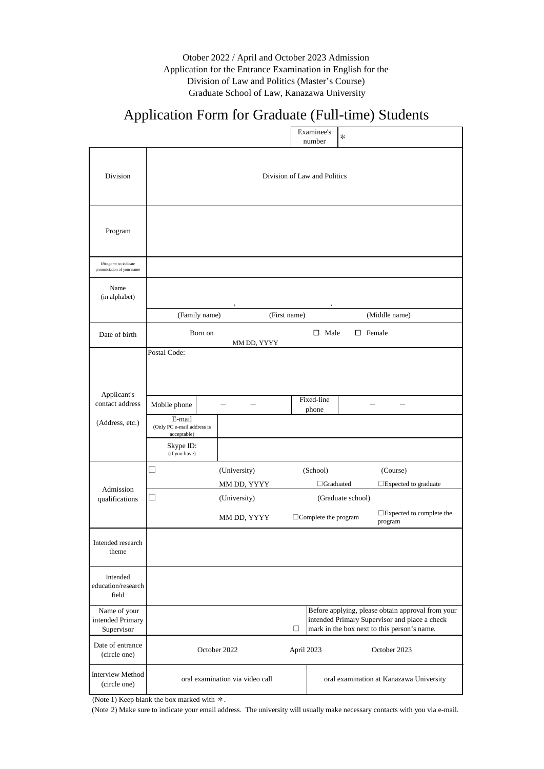(Note 2) Make sure to indicate your email address. The university will usually make necessary contacts with you via e-mail.

|                                                    |                                                     |              | Examinee's<br>number         | $\ast$            |                                      |
|----------------------------------------------------|-----------------------------------------------------|--------------|------------------------------|-------------------|--------------------------------------|
| Division                                           |                                                     |              | Division of Law and Politics |                   |                                      |
| Program                                            |                                                     |              |                              |                   |                                      |
| Hiragana to indicate<br>pronunciation of your name |                                                     |              |                              |                   |                                      |
| Name<br>(in alphabet)                              |                                                     | $\,$         | $\, ,$                       |                   |                                      |
|                                                    | (Family name)                                       | (First name) |                              |                   | (Middle name)                        |
| Date of birth                                      | Born on                                             | MM DD, YYYY  | Male<br>$\Box$               |                   | $\Box$ Female                        |
| Applicant's<br>contact address                     | Postal Code:<br>Mobile phone                        |              | Fixed-line<br>phone          |                   |                                      |
| (Address, etc.)                                    | E-mail<br>(Only PC e-mail address is<br>acceptable) |              |                              |                   |                                      |
|                                                    | Skype ID:<br>(if you have)                          |              |                              |                   |                                      |
|                                                    | $\mathcal{L}_{\mathcal{A}}$                         | (University) | (School)                     |                   | (Course)                             |
| Admission                                          |                                                     | MM DD, YYYY  | $\Box$ Graduated             |                   | $\square$ Expected to graduate       |
| qualifications                                     | $\Box$                                              | (University) |                              | (Graduate school) |                                      |
|                                                    |                                                     | MM DD, YYYY  | $\Box$ Complete the program  |                   | □Expected to complete the<br>program |
| Intended research<br>theme                         |                                                     |              |                              |                   |                                      |
| Intended<br>education/research<br>field            |                                                     |              |                              |                   |                                      |

Otober 2022 / April and October 2023 Admission Application for the Entrance Examination in English for the Division of Law and Politics (Master's Course) Graduate School of Law, Kanazawa University

## Application Form for Graduate (Full-time) Students

| Name of your<br>intended Primary<br>Supervisor |                                 | Before applying, please obtain approval from your<br>intended Primary Supervisor and place a check<br>mark in the box next to this person's name. |
|------------------------------------------------|---------------------------------|---------------------------------------------------------------------------------------------------------------------------------------------------|
| Date of entrance<br>(circle one)               | October 2022                    | October 2023<br>April 2023                                                                                                                        |
| Interview Method<br>(circle one)               | oral examination via video call | oral examination at Kanazawa University                                                                                                           |

(Note 1) Keep blank the box marked with  $*$ .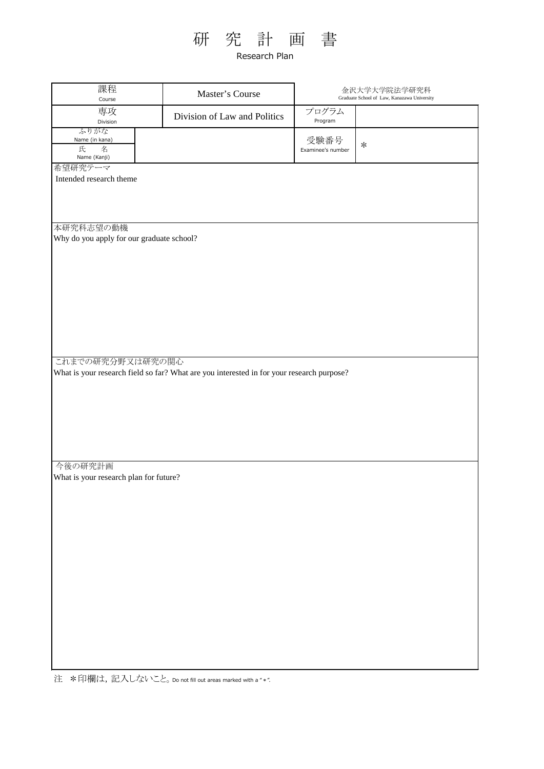# 研 究 計 画 書

Research Plan

| 課程<br>Course                                           | Master's Course                                                                           |                           | 金沢大学大学院法学研究科<br>Graduate School of Law, Kanazawa University |  |  |  |
|--------------------------------------------------------|-------------------------------------------------------------------------------------------|---------------------------|-------------------------------------------------------------|--|--|--|
| 専攻<br>Division                                         | Division of Law and Politics                                                              | プログラム<br>Program          |                                                             |  |  |  |
| ふりがな<br>Name (in kana)<br>氏<br>名<br>Name (Kanji)       |                                                                                           | 受験番号<br>Examinee's number | $\ast$                                                      |  |  |  |
| 希望研究テーマ<br>Intended research theme                     |                                                                                           |                           |                                                             |  |  |  |
|                                                        |                                                                                           |                           |                                                             |  |  |  |
|                                                        |                                                                                           |                           |                                                             |  |  |  |
| 本研究科志望の動機<br>Why do you apply for our graduate school? |                                                                                           |                           |                                                             |  |  |  |
|                                                        |                                                                                           |                           |                                                             |  |  |  |
|                                                        |                                                                                           |                           |                                                             |  |  |  |
|                                                        |                                                                                           |                           |                                                             |  |  |  |
|                                                        |                                                                                           |                           |                                                             |  |  |  |
|                                                        |                                                                                           |                           |                                                             |  |  |  |
|                                                        |                                                                                           |                           |                                                             |  |  |  |
| これまでの研究分野又は研究の関心                                       | What is your research field so far? What are you interested in for your research purpose? |                           |                                                             |  |  |  |
|                                                        |                                                                                           |                           |                                                             |  |  |  |
|                                                        |                                                                                           |                           |                                                             |  |  |  |
|                                                        |                                                                                           |                           |                                                             |  |  |  |
|                                                        |                                                                                           |                           |                                                             |  |  |  |
| 今後の研究計画                                                |                                                                                           |                           |                                                             |  |  |  |
| What is your research plan for future?                 |                                                                                           |                           |                                                             |  |  |  |
|                                                        |                                                                                           |                           |                                                             |  |  |  |
|                                                        |                                                                                           |                           |                                                             |  |  |  |
|                                                        |                                                                                           |                           |                                                             |  |  |  |
|                                                        |                                                                                           |                           |                                                             |  |  |  |
|                                                        |                                                                                           |                           |                                                             |  |  |  |
|                                                        |                                                                                           |                           |                                                             |  |  |  |
|                                                        |                                                                                           |                           |                                                             |  |  |  |
|                                                        |                                                                                           |                           |                                                             |  |  |  |
|                                                        |                                                                                           |                           |                                                             |  |  |  |
|                                                        |                                                                                           |                           |                                                             |  |  |  |

注 \*印欄は,記入しないこと。Do not fill out areas marked with a "\*".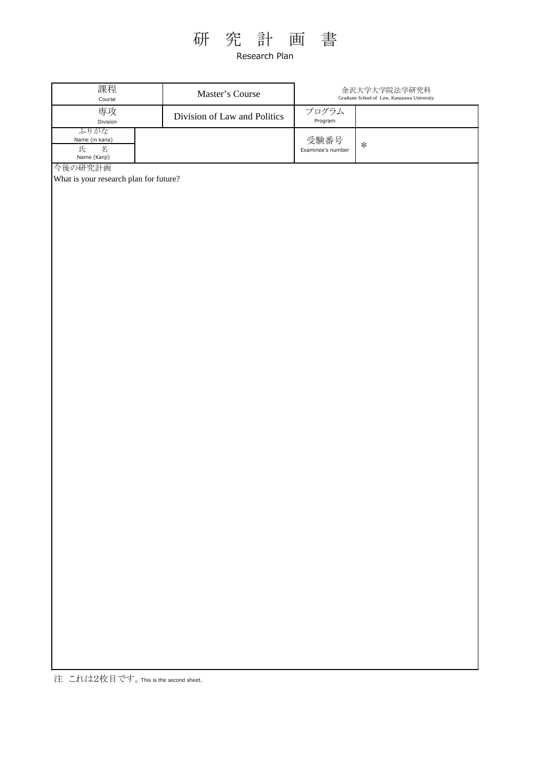

Research Plan

| 課程<br>Course                                      | Master's Course              | 金沢大学大学院法学研究科<br>Graduate School of Law, Kanazawa University |        |  |
|---------------------------------------------------|------------------------------|-------------------------------------------------------------|--------|--|
| 専攻<br>Division                                    | Division of Law and Politics | プログラム<br>Program                                            |        |  |
| ふりがな<br>Name (in kana)<br>名<br>氏<br>Name (Kanji)  |                              | 受験番号<br>Examinee's number                                   | $\ast$ |  |
| 今後の研究計画<br>What is your research plan for future? |                              |                                                             |        |  |

注 これは2枚目です。This is the second sheet.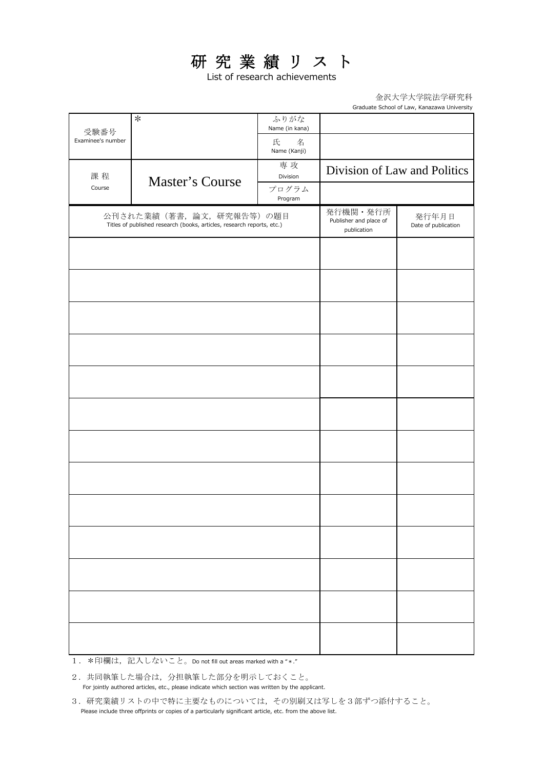### 研究業績リスト

List of research achievements

金沢大学大学院法学研究科 Graduate School of Law, Kanazawa University

|                           | $\ast$                                                                                            | ふりがな<br>Name (in kana) |                                                   |                              |
|---------------------------|---------------------------------------------------------------------------------------------------|------------------------|---------------------------------------------------|------------------------------|
| 受験番号<br>Examinee's number |                                                                                                   | 氏<br>名<br>Name (Kanji) |                                                   |                              |
| 課程                        | Master's Course                                                                                   | 専攻<br>Division         |                                                   | Division of Law and Politics |
| Course                    |                                                                                                   | プログラム<br>Program       |                                                   |                              |
|                           | 公刊された業績(著書、論文、研究報告等)の題目<br>Titles of published research (books, articles, research reports, etc.) |                        | 発行機関·発行所<br>Publisher and place of<br>publication | 発行年月日<br>Date of publication |
|                           |                                                                                                   |                        |                                                   |                              |
|                           |                                                                                                   |                        |                                                   |                              |
|                           |                                                                                                   |                        |                                                   |                              |
|                           |                                                                                                   |                        |                                                   |                              |
|                           |                                                                                                   |                        |                                                   |                              |
|                           |                                                                                                   |                        |                                                   |                              |
|                           |                                                                                                   |                        |                                                   |                              |
|                           |                                                                                                   |                        |                                                   |                              |
|                           |                                                                                                   |                        |                                                   |                              |
|                           |                                                                                                   |                        |                                                   |                              |
|                           |                                                                                                   |                        |                                                   |                              |
|                           |                                                                                                   |                        |                                                   |                              |
|                           |                                                                                                   |                        |                                                   |                              |

1. \*印欄は, 記入しないこと。Do not fill out areas marked with a "\*."

2.共同執筆した場合は,分担執筆した部分を明示しておくこと。 For jointly authored articles, etc., please indicate which section was written by the applicant.

3.研究業績リストの中で特に主要なものについては,その別刷又は写しを3部ずつ添付すること。 Please include three offprints or copies of a particularly significant article, etc. from the above list.